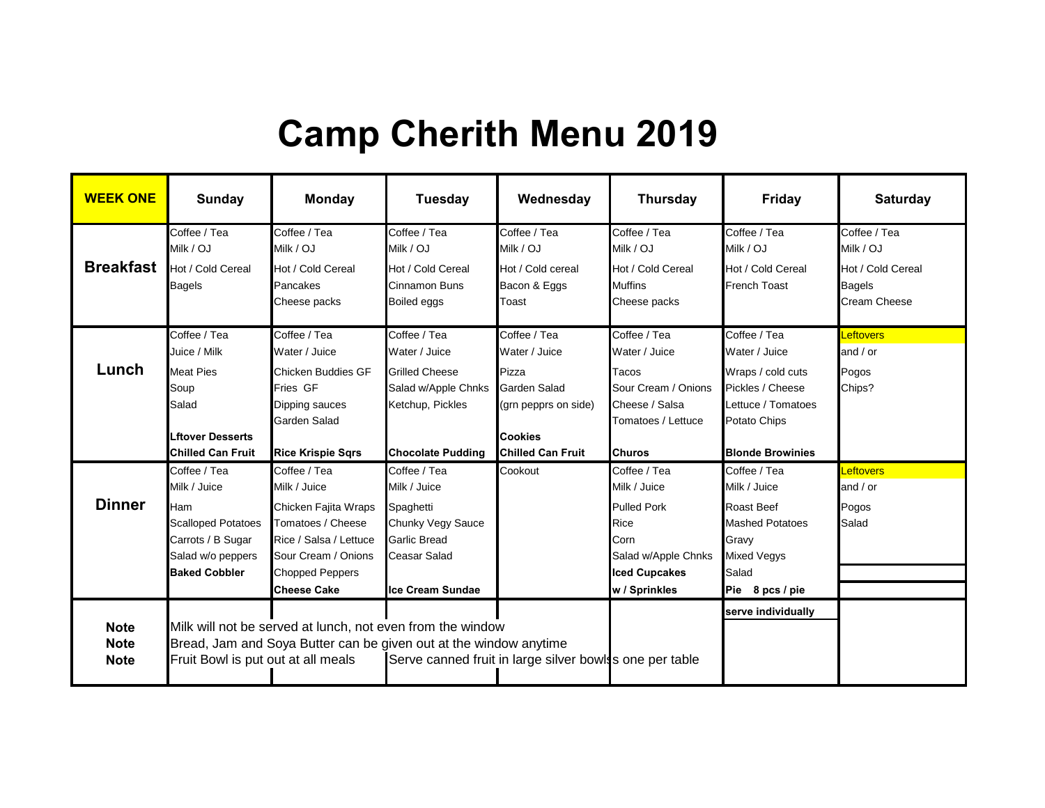## **Camp Cherith Menu 2019**

| <b>WEEK ONE</b>                           | Sunday                                                                                                                                    | <b>Monday</b>                                                                                                                                                              | <b>Tuesday</b>                                                                                                                          | Wednesday                                                                                                                           | <b>Thursday</b>                                                                                                                           | <b>Friday</b>                                                                                                                           | <b>Saturday</b>                                                                        |
|-------------------------------------------|-------------------------------------------------------------------------------------------------------------------------------------------|----------------------------------------------------------------------------------------------------------------------------------------------------------------------------|-----------------------------------------------------------------------------------------------------------------------------------------|-------------------------------------------------------------------------------------------------------------------------------------|-------------------------------------------------------------------------------------------------------------------------------------------|-----------------------------------------------------------------------------------------------------------------------------------------|----------------------------------------------------------------------------------------|
| <b>Breakfast</b>                          | Coffee / Tea<br>Milk / OJ<br>Hot / Cold Cereal<br><b>Bagels</b>                                                                           | Coffee / Tea<br>Milk / OJ<br>Hot / Cold Cereal<br>Pancakes<br>Cheese packs                                                                                                 | Coffee / Tea<br>Milk / OJ<br>Hot / Cold Cereal<br>Cinnamon Buns<br>Boiled eggs                                                          | Coffee / Tea<br>Milk / OJ<br>Hot / Cold cereal<br>Bacon & Eggs<br>Toast                                                             | Coffee / Tea<br>Milk / OJ<br>Hot / Cold Cereal<br><b>Muffins</b><br>Cheese packs                                                          | Coffee / Tea<br>Milk / OJ<br>Hot / Cold Cereal<br><b>French Toast</b>                                                                   | Coffee / Tea<br>Milk / OJ<br>Hot / Cold Cereal<br><b>Bagels</b><br><b>Cream Cheese</b> |
| Lunch                                     | Coffee / Tea<br>Juice / Milk<br><b>Meat Pies</b><br>Soup<br>Salad<br><b>Lftover Desserts</b><br><b>Chilled Can Fruit</b>                  | Coffee / Tea<br>Water / Juice<br><b>Chicken Buddies GF</b><br>Fries GF<br>Dipping sauces<br>Garden Salad<br><b>Rice Krispie Sqrs</b>                                       | Coffee / Tea<br>Water / Juice<br><b>Grilled Cheese</b><br>Salad w/Apple Chnks<br>Ketchup, Pickles<br><b>Chocolate Pudding</b>           | Coffee / Tea<br>Water / Juice<br>Pizza<br><b>Garden Salad</b><br>(grn pepprs on side)<br><b>Cookies</b><br><b>Chilled Can Fruit</b> | Coffee / Tea<br>Water / Juice<br>Tacos<br>Sour Cream / Onions<br>Cheese / Salsa<br>Tomatoes / Lettuce<br><b>Churos</b>                    | Coffee / Tea<br>Water / Juice<br>Wraps / cold cuts<br>Pickles / Cheese<br>Lettuce / Tomatoes<br>Potato Chips<br><b>Blonde Browinies</b> | <b>Leftovers</b><br>and $/$ or<br>Pogos<br>Chips?                                      |
| <b>Dinner</b>                             | Coffee / Tea<br>Milk / Juice<br><b>Ham</b><br><b>Scalloped Potatoes</b><br>Carrots / B Sugar<br>Salad w/o peppers<br><b>Baked Cobbler</b> | Coffee / Tea<br>Milk / Juice<br>Chicken Fajita Wraps<br>Tomatoes / Cheese<br>Rice / Salsa / Lettuce<br>Sour Cream / Onions<br><b>Chopped Peppers</b><br><b>Cheese Cake</b> | Coffee / Tea<br>Milk / Juice<br>Spaghetti<br>Chunky Vegy Sauce<br><b>Garlic Bread</b><br><b>Ceasar Salad</b><br><b>Ice Cream Sundae</b> | Cookout                                                                                                                             | Coffee / Tea<br>Milk / Juice<br><b>Pulled Pork</b><br><b>Rice</b><br>Corn<br>Salad w/Apple Chnks<br><b>Iced Cupcakes</b><br>w / Sprinkles | Coffee / Tea<br>Milk / Juice<br><b>Roast Beef</b><br><b>Mashed Potatoes</b><br>Gravy<br><b>Mixed Vegys</b><br>Salad<br>Pie 8 pcs / pie  | <b>Leftovers</b><br>and $/$ or<br>Pogos<br>Salad                                       |
| <b>Note</b><br><b>Note</b><br><b>Note</b> | Fruit Bowl is put out at all meals                                                                                                        | Milk will not be served at lunch, not even from the window<br>Bread, Jam and Soya Butter can be given out at the window anytime                                            |                                                                                                                                         | Serve canned fruit in large silver bowls's one per table                                                                            |                                                                                                                                           | serve individually                                                                                                                      |                                                                                        |